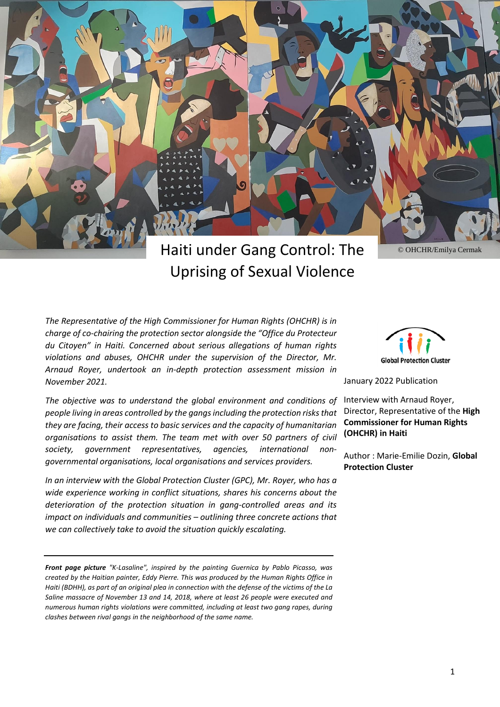

# Haiti under Gang Control: The Uprising of Sexual Violence

© OHCHR/Emilya Cermak

*The Representative of the High Commissioner for Human Rights (OHCHR) is in charge of co-chairing the protection sector alongside the "Office du Protecteur du Citoyen" in Haiti. Concerned about serious allegations of human rights violations and abuses, OHCHR under the supervision of the Director, Mr. Arnaud Royer, undertook an in-depth protection assessment mission in November 2021.*

*The objective was to understand the global environment and conditions of people living in areas controlled by the gangsincluding the protection risksthat they are facing, their access to basic services and the capacity of humanitarian organisations to assist them. The team met with over 50 partners of civil society, government representatives, agencies, international nongovernmental organisations, local organisations and services providers.*

*In an interview with the Global Protection Cluster (GPC), Mr. Royer, who has a wide experience working in conflict situations, shares his concerns about the deterioration of the protection situation in gang-controlled areas and its impact on individuals and communities – outlining three concrete actions that we can collectively take to avoid the situation quickly escalating.*

*Front page picture "K-Lasaline", inspired by the painting Guernica by Pablo Picasso, was created by the Haitian painter, Eddy Pierre. This was produced by the Human Rights Office in* Haiti (BDHH), as part of an original plea in connection with the defense of the victims of the La *Saline massacre of November 13 and 14, 2018, where at least 26 people were executed and numerous human rights violations were committed, including at least two gang rapes, during clashes between rival gangs in the neighborhood of the same name.*



January 2022 Publication

Interview with Arnaud Royer, Director, Representative of the **High Commissioner for Human Rights (OHCHR) in Haiti**

Author : Marie-Emilie Dozin, **Global Protection Cluster**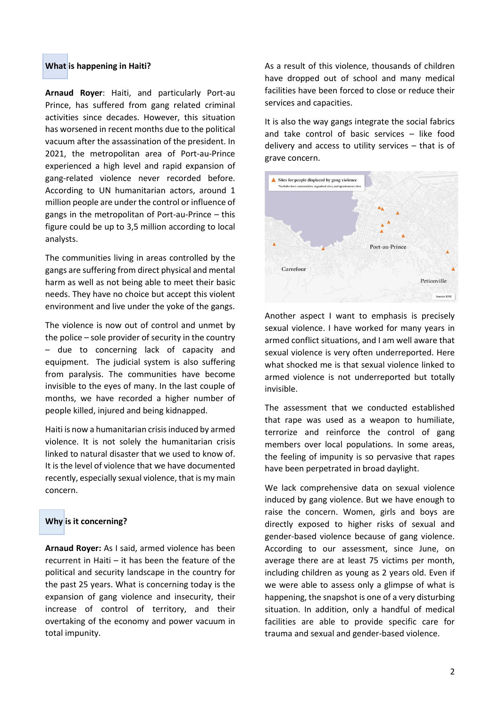# **What is happening in Haiti?**

**Arnaud Royer**: Haiti, and particularly Port-au Prince, has suffered from gang related criminal activities since decades. However, this situation has worsened in recent months due to the political vacuum after the assassination of the president. In 2021, the metropolitan area of Port-au-Prince experienced a high level and rapid expansion of gang-related violence never recorded before. According to UN humanitarian actors, around 1 million people are under the control or influence of gangs in the metropolitan of Port-au-Prince – this figure could be up to 3,5 million according to local analysts.

The communities living in areas controlled by the gangs are suffering from direct physical and mental harm as well as not being able to meet their basic needs. They have no choice but accept this violent environment and live under the yoke of the gangs.

The violence is now out of control and unmet by the police – sole provider of security in the country – due to concerning lack of capacity and equipment. The judicial system is also suffering from paralysis. The communities have become invisible to the eyes of many. In the last couple of months, we have recorded a higher number of people killed, injured and being kidnapped.

Haiti is now a humanitarian crisis induced by armed violence. It is not solely the humanitarian crisis linked to natural disaster that we used to know of. It is the level of violence that we have documented recently, especially sexual violence, that is my main concern.

# **Why is it concerning?**

**Arnaud Royer:** As I said, armed violence has been recurrent in Haiti – it has been the feature of the political and security landscape in the country for the past 25 years. What is concerning today is the expansion of gang violence and insecurity, their increase of control of territory, and their overtaking of the economy and power vacuum in total impunity.

As a result of this violence, thousands of children have dropped out of school and many medical facilities have been forced to close or reduce their services and capacities.

It is also the way gangs integrate the social fabrics and take control of basic services – like food delivery and access to utility services – that is of grave concern.



Another aspect I want to emphasis is precisely sexual violence. I have worked for many years in armed conflict situations, and I am well aware that sexual violence is very often underreported. Here what shocked me is that sexual violence linked to armed violence is not underreported but totally invisible.

The assessment that we conducted established that rape was used as a weapon to humiliate, terrorize and reinforce the control of gang members over local populations. In some areas, the feeling of impunity is so pervasive that rapes have been perpetrated in broad daylight.

We lack comprehensive data on sexual violence induced by gang violence. But we have enough to raise the concern. Women, girls and boys are directly exposed to higher risks of sexual and gender-based violence because of gang violence. According to our assessment, since June, on average there are at least 75 victims per month, including children as young as 2 years old. Even if we were able to assess only a glimpse of what is happening, the snapshot is one of a very disturbing situation. In addition, only a handful of medical facilities are able to provide specific care for trauma and sexual and gender-based violence.